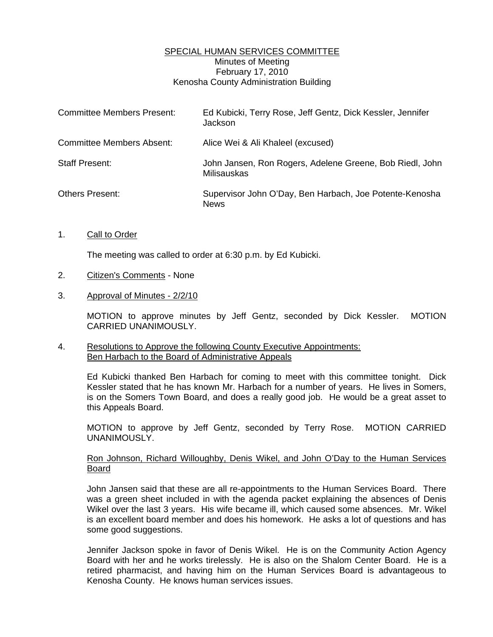# SPECIAL HUMAN SERVICES COMMITTEE Minutes of Meeting February 17, 2010 Kenosha County Administration Building

| <b>Committee Members Present:</b> | Ed Kubicki, Terry Rose, Jeff Gentz, Dick Kessler, Jennifer<br>Jackson   |
|-----------------------------------|-------------------------------------------------------------------------|
| <b>Committee Members Absent:</b>  | Alice Wei & Ali Khaleel (excused)                                       |
| <b>Staff Present:</b>             | John Jansen, Ron Rogers, Adelene Greene, Bob Riedl, John<br>Milisauskas |
| <b>Others Present:</b>            | Supervisor John O'Day, Ben Harbach, Joe Potente-Kenosha<br><b>News</b>  |

#### 1. Call to Order

The meeting was called to order at 6:30 p.m. by Ed Kubicki.

## 2. Citizen's Comments - None

## 3. Approval of Minutes - 2/2/10

 MOTION to approve minutes by Jeff Gentz, seconded by Dick Kessler. MOTION CARRIED UNANIMOUSLY.

#### 4. Resolutions to Approve the following County Executive Appointments: Ben Harbach to the Board of Administrative Appeals

 Ed Kubicki thanked Ben Harbach for coming to meet with this committee tonight. Dick Kessler stated that he has known Mr. Harbach for a number of years. He lives in Somers, is on the Somers Town Board, and does a really good job. He would be a great asset to this Appeals Board.

 MOTION to approve by Jeff Gentz, seconded by Terry Rose. MOTION CARRIED UNANIMOUSLY.

#### Ron Johnson, Richard Willoughby, Denis Wikel, and John O'Day to the Human Services Board

 John Jansen said that these are all re-appointments to the Human Services Board. There was a green sheet included in with the agenda packet explaining the absences of Denis Wikel over the last 3 years. His wife became ill, which caused some absences. Mr. Wikel is an excellent board member and does his homework. He asks a lot of questions and has some good suggestions.

 Jennifer Jackson spoke in favor of Denis Wikel. He is on the Community Action Agency Board with her and he works tirelessly. He is also on the Shalom Center Board. He is a retired pharmacist, and having him on the Human Services Board is advantageous to Kenosha County. He knows human services issues.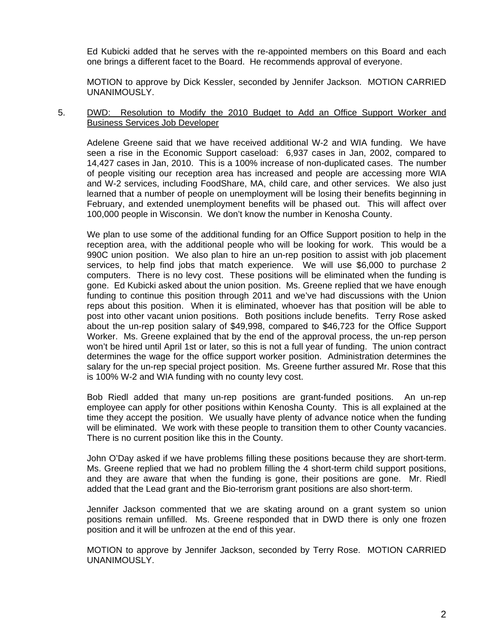Ed Kubicki added that he serves with the re-appointed members on this Board and each one brings a different facet to the Board. He recommends approval of everyone.

 MOTION to approve by Dick Kessler, seconded by Jennifer Jackson. MOTION CARRIED UNANIMOUSLY.

## 5. DWD: Resolution to Modify the 2010 Budget to Add an Office Support Worker and Business Services Job Developer

 Adelene Greene said that we have received additional W-2 and WIA funding. We have seen a rise in the Economic Support caseload: 6,937 cases in Jan, 2002, compared to 14,427 cases in Jan, 2010. This is a 100% increase of non-duplicated cases. The number of people visiting our reception area has increased and people are accessing more WIA and W-2 services, including FoodShare, MA, child care, and other services. We also just learned that a number of people on unemployment will be losing their benefits beginning in February, and extended unemployment benefits will be phased out. This will affect over 100,000 people in Wisconsin. We don't know the number in Kenosha County.

 We plan to use some of the additional funding for an Office Support position to help in the reception area, with the additional people who will be looking for work. This would be a 990C union position. We also plan to hire an un-rep position to assist with job placement services, to help find jobs that match experience. We will use \$6,000 to purchase 2 computers. There is no levy cost. These positions will be eliminated when the funding is gone. Ed Kubicki asked about the union position. Ms. Greene replied that we have enough funding to continue this position through 2011 and we've had discussions with the Union reps about this position. When it is eliminated, whoever has that position will be able to post into other vacant union positions. Both positions include benefits. Terry Rose asked about the un-rep position salary of \$49,998, compared to \$46,723 for the Office Support Worker. Ms. Greene explained that by the end of the approval process, the un-rep person won't be hired until April 1st or later, so this is not a full year of funding. The union contract determines the wage for the office support worker position. Administration determines the salary for the un-rep special project position. Ms. Greene further assured Mr. Rose that this is 100% W-2 and WIA funding with no county levy cost.

 Bob Riedl added that many un-rep positions are grant-funded positions. An un-rep employee can apply for other positions within Kenosha County. This is all explained at the time they accept the position. We usually have plenty of advance notice when the funding will be eliminated. We work with these people to transition them to other County vacancies. There is no current position like this in the County.

 John O'Day asked if we have problems filling these positions because they are short-term. Ms. Greene replied that we had no problem filling the 4 short-term child support positions, and they are aware that when the funding is gone, their positions are gone. Mr. Riedl added that the Lead grant and the Bio-terrorism grant positions are also short-term.

 Jennifer Jackson commented that we are skating around on a grant system so union positions remain unfilled. Ms. Greene responded that in DWD there is only one frozen position and it will be unfrozen at the end of this year.

 MOTION to approve by Jennifer Jackson, seconded by Terry Rose. MOTION CARRIED UNANIMOUSLY.